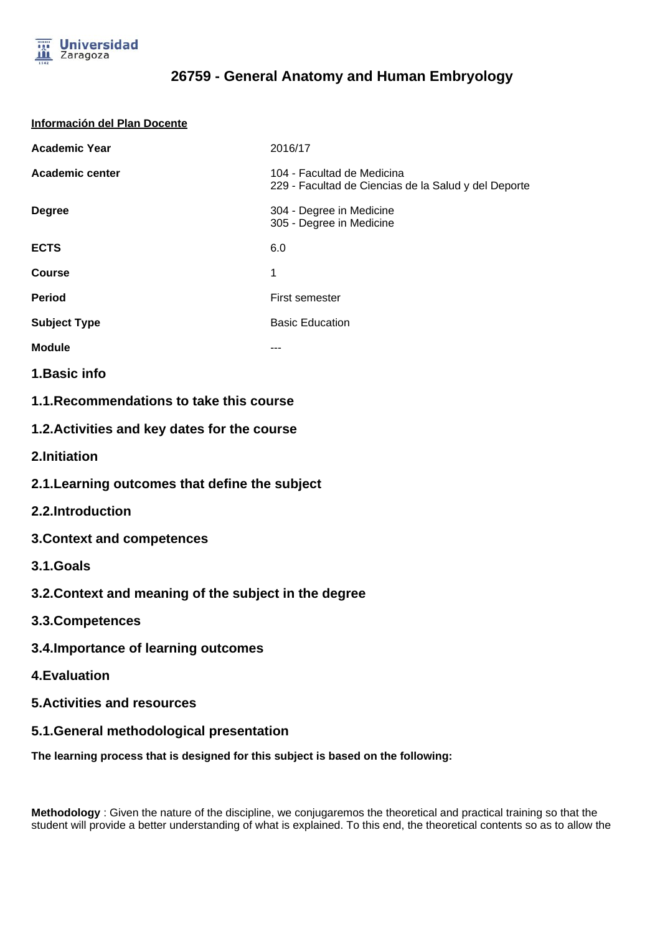

#### **Información del Plan Docente**

| <b>Academic Year</b>                         | 2016/17                                                                            |
|----------------------------------------------|------------------------------------------------------------------------------------|
| <b>Academic center</b>                       | 104 - Facultad de Medicina<br>229 - Facultad de Ciencias de la Salud y del Deporte |
| <b>Degree</b>                                | 304 - Degree in Medicine<br>305 - Degree in Medicine                               |
| <b>ECTS</b>                                  | 6.0                                                                                |
| <b>Course</b>                                | 1                                                                                  |
| <b>Period</b>                                | First semester                                                                     |
| <b>Subject Type</b>                          | <b>Basic Education</b>                                                             |
| <b>Module</b>                                | ---                                                                                |
| 1. Basic info                                |                                                                                    |
| 1.1. Recommendations to take this course     |                                                                                    |
| 1.2. Activities and key dates for the course |                                                                                    |
| 2.Initiation                                 |                                                                                    |

- **2.1.Learning outcomes that define the subject**
- **2.2.Introduction**
- **3.Context and competences**
- **3.1.Goals**
- **3.2.Context and meaning of the subject in the degree**
- **3.3.Competences**
- **3.4.Importance of learning outcomes**
- **4.Evaluation**
- **5.Activities and resources**
- **5.1.General methodological presentation**

**The learning process that is designed for this subject is based on the following:**

**Methodology** : Given the nature of the discipline, we conjugaremos the theoretical and practical training so that the student will provide a better understanding of what is explained. To this end, the theoretical contents so as to allow the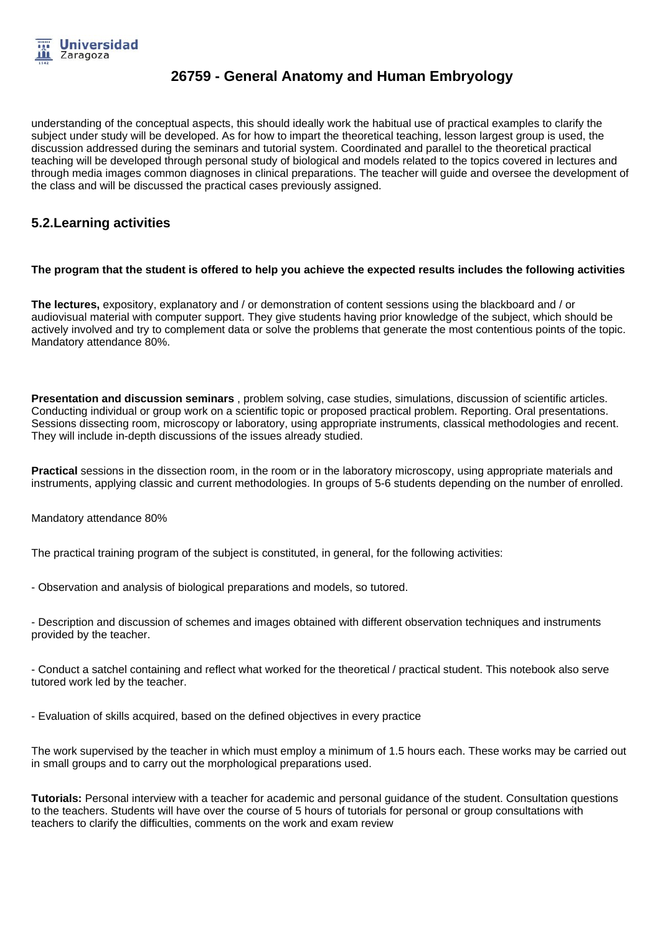

understanding of the conceptual aspects, this should ideally work the habitual use of practical examples to clarify the subject under study will be developed. As for how to impart the theoretical teaching, lesson largest group is used, the discussion addressed during the seminars and tutorial system. Coordinated and parallel to the theoretical practical teaching will be developed through personal study of biological and models related to the topics covered in lectures and through media images common diagnoses in clinical preparations. The teacher will guide and oversee the development of the class and will be discussed the practical cases previously assigned.

### **5.2.Learning activities**

### **The program that the student is offered to help you achieve the expected results includes the following activities**

**The lectures,** expository, explanatory and / or demonstration of content sessions using the blackboard and / or audiovisual material with computer support. They give students having prior knowledge of the subject, which should be actively involved and try to complement data or solve the problems that generate the most contentious points of the topic. Mandatory attendance 80%.

**Presentation and discussion seminars** , problem solving, case studies, simulations, discussion of scientific articles. Conducting individual or group work on a scientific topic or proposed practical problem. Reporting. Oral presentations. Sessions dissecting room, microscopy or laboratory, using appropriate instruments, classical methodologies and recent. They will include in-depth discussions of the issues already studied.

**Practical** sessions in the dissection room, in the room or in the laboratory microscopy, using appropriate materials and instruments, applying classic and current methodologies. In groups of 5-6 students depending on the number of enrolled.

Mandatory attendance 80%

The practical training program of the subject is constituted, in general, for the following activities:

- Observation and analysis of biological preparations and models, so tutored.
- Description and discussion of schemes and images obtained with different observation techniques and instruments provided by the teacher.

- Conduct a satchel containing and reflect what worked for the theoretical / practical student. This notebook also serve tutored work led by the teacher.

- Evaluation of skills acquired, based on the defined objectives in every practice

The work supervised by the teacher in which must employ a minimum of 1.5 hours each. These works may be carried out in small groups and to carry out the morphological preparations used.

**Tutorials:** Personal interview with a teacher for academic and personal guidance of the student. Consultation questions to the teachers. Students will have over the course of 5 hours of tutorials for personal or group consultations with teachers to clarify the difficulties, comments on the work and exam review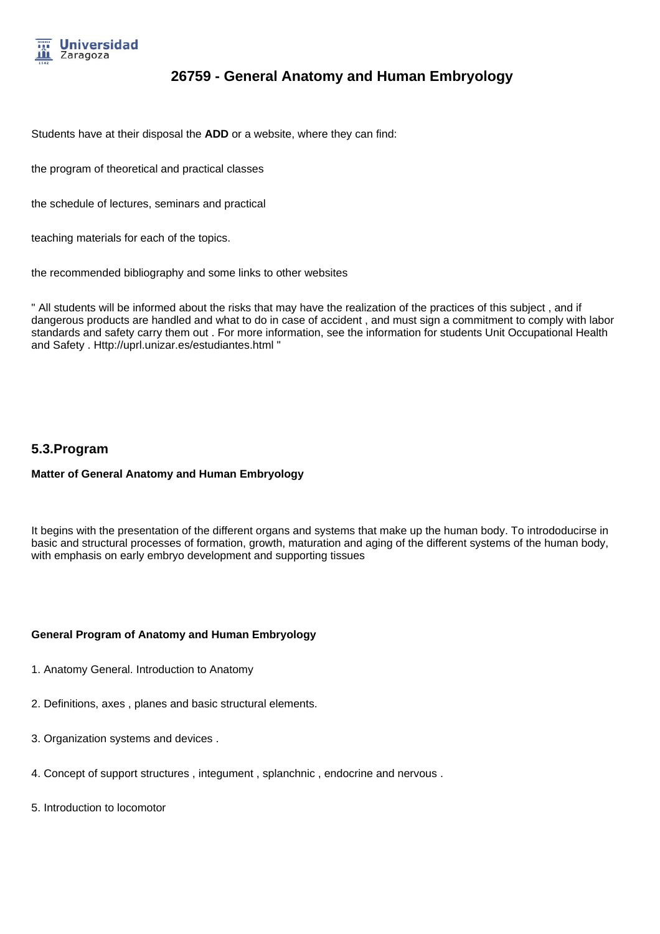

Students have at their disposal the **ADD** or a website, where they can find:

the program of theoretical and practical classes

the schedule of lectures, seminars and practical

teaching materials for each of the topics.

the recommended bibliography and some links to other websites

" All students will be informed about the risks that may have the realization of the practices of this subject , and if dangerous products are handled and what to do in case of accident , and must sign a commitment to comply with labor standards and safety carry them out . For more information, see the information for students Unit Occupational Health and Safety . Http://uprl.unizar.es/estudiantes.html "

### **5.3.Program**

#### **Matter of General Anatomy and Human Embryology**

It begins with the presentation of the different organs and systems that make up the human body. To intrododucirse in basic and structural processes of formation, growth, maturation and aging of the different systems of the human body, with emphasis on early embryo development and supporting tissues

### **General Program of Anatomy and Human Embryology**

- 1. Anatomy General. Introduction to Anatomy
- 2. Definitions, axes , planes and basic structural elements.
- 3. Organization systems and devices .
- 4. Concept of support structures , integument , splanchnic , endocrine and nervous .
- 5. Introduction to locomotor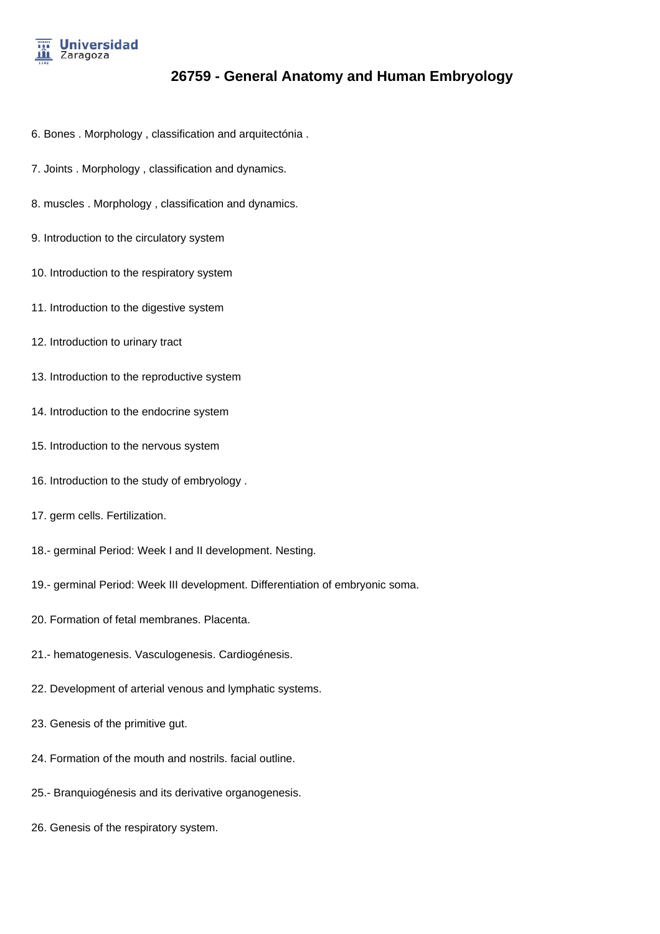

- 6. Bones . Morphology , classification and arquitectónia .
- 7. Joints . Morphology , classification and dynamics.
- 8. muscles . Morphology , classification and dynamics.
- 9. Introduction to the circulatory system
- 10. Introduction to the respiratory system
- 11. Introduction to the digestive system
- 12. Introduction to urinary tract
- 13. Introduction to the reproductive system
- 14. Introduction to the endocrine system
- 15. Introduction to the nervous system
- 16. Introduction to the study of embryology .
- 17. germ cells. Fertilization.
- 18.- germinal Period: Week I and II development. Nesting.
- 19.- germinal Period: Week III development. Differentiation of embryonic soma.
- 20. Formation of fetal membranes. Placenta.
- 21.- hematogenesis. Vasculogenesis. Cardiogénesis.
- 22. Development of arterial venous and lymphatic systems.
- 23. Genesis of the primitive gut.
- 24. Formation of the mouth and nostrils. facial outline.
- 25.- Branquiogénesis and its derivative organogenesis.
- 26. Genesis of the respiratory system.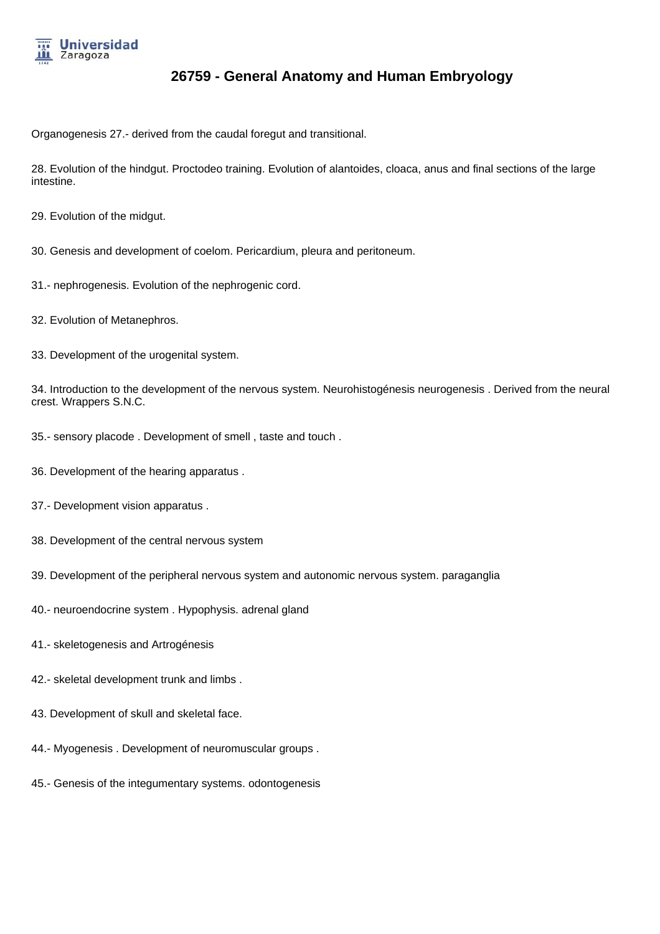

Organogenesis 27.- derived from the caudal foregut and transitional.

28. Evolution of the hindgut. Proctodeo training. Evolution of alantoides, cloaca, anus and final sections of the large intestine.

29. Evolution of the midgut.

- 30. Genesis and development of coelom. Pericardium, pleura and peritoneum.
- 31.- nephrogenesis. Evolution of the nephrogenic cord.
- 32. Evolution of Metanephros.
- 33. Development of the urogenital system.

34. Introduction to the development of the nervous system. Neurohistogénesis neurogenesis . Derived from the neural crest. Wrappers S.N.C.

- 35.- sensory placode . Development of smell , taste and touch .
- 36. Development of the hearing apparatus .
- 37.- Development vision apparatus .
- 38. Development of the central nervous system
- 39. Development of the peripheral nervous system and autonomic nervous system. paraganglia
- 40.- neuroendocrine system . Hypophysis. adrenal gland
- 41.- skeletogenesis and Artrogénesis
- 42.- skeletal development trunk and limbs .
- 43. Development of skull and skeletal face.
- 44.- Myogenesis . Development of neuromuscular groups .
- 45.- Genesis of the integumentary systems. odontogenesis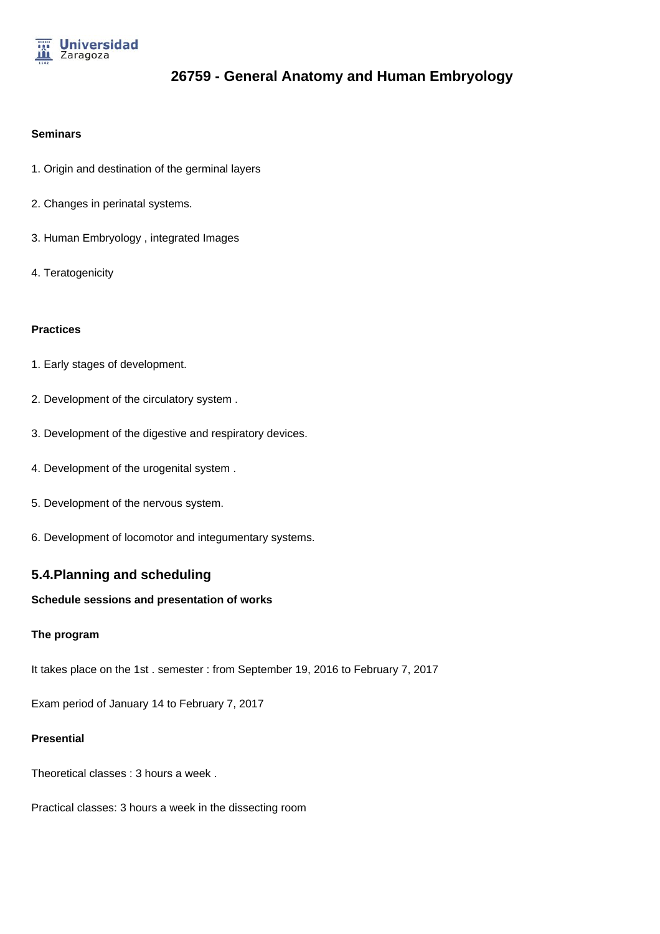

#### **Seminars**

- 1. Origin and destination of the germinal layers
- 2. Changes in perinatal systems.
- 3. Human Embryology , integrated Images
- 4. Teratogenicity

### **Practices**

- 1. Early stages of development.
- 2. Development of the circulatory system .
- 3. Development of the digestive and respiratory devices.
- 4. Development of the urogenital system .
- 5. Development of the nervous system.
- 6. Development of locomotor and integumentary systems.

## **5.4.Planning and scheduling**

### **Schedule sessions and presentation of works**

### **The program**

It takes place on the 1st . semester : from September 19, 2016 to February 7, 2017

Exam period of January 14 to February 7, 2017

### **Presential**

Theoretical classes : 3 hours a week .

Practical classes: 3 hours a week in the dissecting room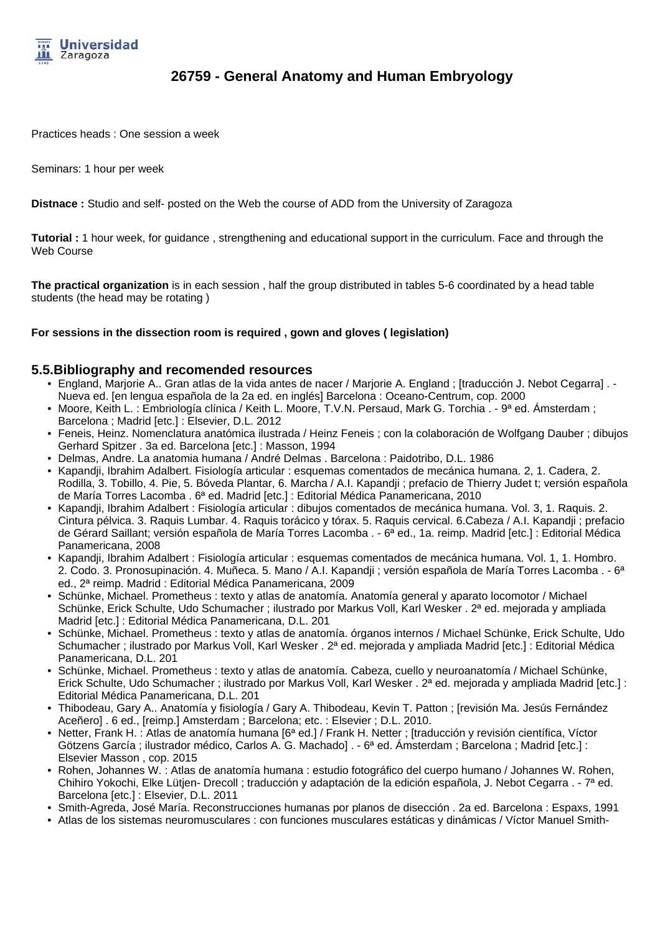

Practices heads : One session a week

Seminars: 1 hour per week

**Distnace :** Studio and self- posted on the Web the course of ADD from the University of Zaragoza

**Tutorial :** 1 hour week, for guidance , strengthening and educational support in the curriculum. Face and through the Web Course

**The practical organization** is in each session , half the group distributed in tables 5-6 coordinated by a head table students (the head may be rotating )

### **For sessions in the dissection room is required , gown and gloves ( legislation)**

### **5.5.Bibliography and recomended resources**

- England, Marjorie A.. Gran atlas de la vida antes de nacer / Marjorie A. England ; [traducción J. Nebot Cegarra] . Nueva ed. [en lengua española de la 2a ed. en inglés] Barcelona : Oceano-Centrum, cop. 2000
- Moore, Keith L. : Embriología clínica / Keith L. Moore, T.V.N. Persaud, Mark G. Torchia . 9ª ed. Ámsterdam ; Barcelona ; Madrid [etc.] : Elsevier, D.L. 2012
- Feneis, Heinz. Nomenclatura anatómica ilustrada / Heinz Feneis ; con la colaboración de Wolfgang Dauber ; dibujos Gerhard Spitzer . 3a ed. Barcelona [etc.] : Masson, 1994
- Delmas, Andre. La anatomia humana / André Delmas . Barcelona : Paidotribo, D.L. 1986
- Kapandji, Ibrahim Adalbert. Fisiología articular : esquemas comentados de mecánica humana. 2, 1. Cadera, 2. Rodilla, 3. Tobillo, 4. Pie, 5. Bóveda Plantar, 6. Marcha / A.I. Kapandji ; prefacio de Thierry Judet t; versión española de María Torres Lacomba . 6ª ed. Madrid [etc.] : Editorial Médica Panamericana, 2010
- Kapandji, Ibrahim Adalbert : Fisiología articular : dibujos comentados de mecánica humana. Vol. 3, 1. Raquis. 2. Cintura pélvica. 3. Raquis Lumbar. 4. Raquis torácico y tórax. 5. Raquis cervical. 6.Cabeza / A.I. Kapandji ; prefacio de Gérard Saillant; versión española de María Torres Lacomba . - 6ª ed., 1a. reimp. Madrid [etc.] : Editorial Médica Panamericana, 2008
- Kapandji, Ibrahim Adalbert : Fisiología articular : esquemas comentados de mecánica humana. Vol. 1, 1. Hombro. 2. Codo. 3. Pronosupinación. 4. Muñeca. 5. Mano / A.I. Kapandji ; versión española de María Torres Lacomba . - 6<sup>a</sup> ed., 2ª reimp. Madrid : Editorial Médica Panamericana, 2009
- Schünke, Michael. Prometheus : texto y atlas de anatomía. Anatomía general y aparato locomotor / Michael Schünke, Erick Schulte, Udo Schumacher ; ilustrado por Markus Voll, Karl Wesker . 2ª ed. mejorada y ampliada Madrid [etc.] : Editorial Médica Panamericana, D.L. 201
- Schünke, Michael. Prometheus : texto y atlas de anatomía. órganos internos / Michael Schünke, Erick Schulte, Udo Schumacher ; ilustrado por Markus Voll, Karl Wesker . 2<sup>a</sup> ed. mejorada y ampliada Madrid [etc.] : Editorial Médica Panamericana, D.L. 201
- Schünke, Michael. Prometheus : texto y atlas de anatomía. Cabeza, cuello y neuroanatomía / Michael Schünke, Erick Schulte, Udo Schumacher ; ilustrado por Markus Voll, Karl Wesker . 2ª ed. mejorada y ampliada Madrid [etc.] : Editorial Médica Panamericana, D.L. 201
- Thibodeau, Gary A.. Anatomía y fisiología / Gary A. Thibodeau, Kevin T. Patton ; [revisión Ma. Jesús Fernández Aceñero] . 6 ed., [reimp.] Amsterdam ; Barcelona; etc. : Elsevier ; D.L. 2010.
- Netter, Frank H. : Atlas de anatomía humana [6ª ed.] / Frank H. Netter ; [traducción y revisión científica, Víctor Götzens García ; ilustrador médico, Carlos A. G. Machado] . - 6ª ed. Ámsterdam ; Barcelona ; Madrid [etc.] : Elsevier Masson , cop. 2015
- Rohen, Johannes W. : Atlas de anatomía humana : estudio fotográfico del cuerpo humano / Johannes W. Rohen, Chihiro Yokochi, Elke Lütjen- Drecoll ; traducción y adaptación de la edición española, J. Nebot Cegarra . - 7ª ed. Barcelona [etc.] : Elsevier, D.L. 2011
- Smith-Agreda, José María. Reconstrucciones humanas por planos de disección . 2a ed. Barcelona : Espaxs, 1991
- Atlas de los sistemas neuromusculares : con funciones musculares estáticas y dinámicas / Víctor Manuel Smith-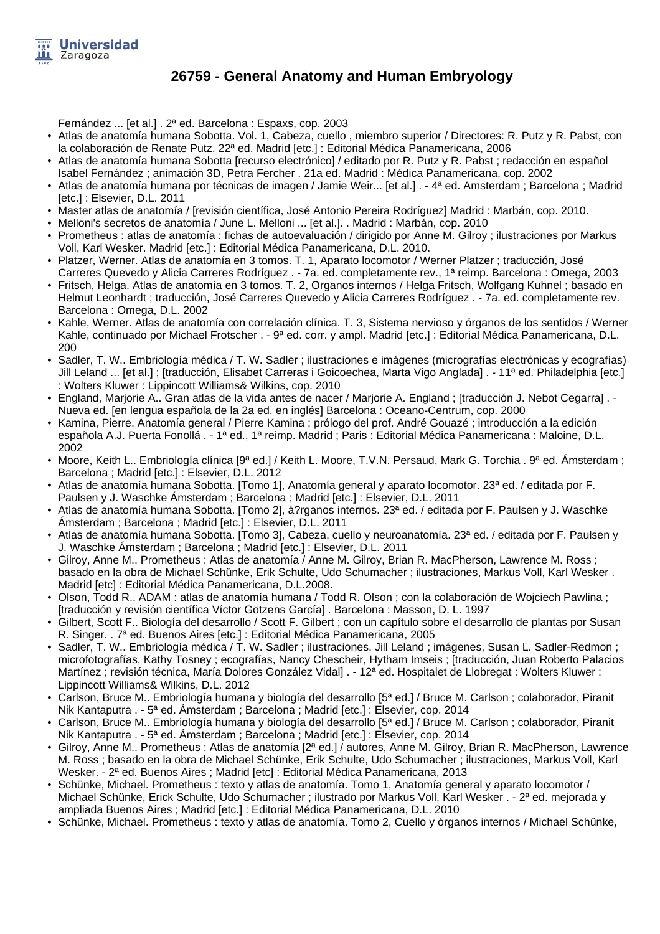

Fernández ... [et al.] . 2ª ed. Barcelona : Espaxs, cop. 2003

- Atlas de anatomía humana Sobotta. Vol. 1, Cabeza, cuello , miembro superior / Directores: R. Putz y R. Pabst, con la colaboración de Renate Putz. 22ª ed. Madrid [etc.] : Editorial Médica Panamericana, 2006
- Atlas de anatomía humana Sobotta [recurso electrónico] / editado por R. Putz y R. Pabst ; redacción en español Isabel Fernández ; animación 3D, Petra Fercher . 21a ed. Madrid : Médica Panamericana, cop. 2002
- Atlas de anatomía humana por técnicas de imagen / Jamie Weir... [et al.] . 4ª ed. Amsterdam ; Barcelona ; Madrid [etc.] : Elsevier, D.L. 2011
- Master atlas de anatomía / [revisión científica, José Antonio Pereira Rodríguez] Madrid : Marbán, cop. 2010.
- Melloni's secretos de anatomía / June L. Melloni ... [et al.]. . Madrid : Marbán, cop. 2010
- Prometheus : atlas de anatomía : fichas de autoevaluación / dirigido por Anne M. Gilroy ; ilustraciones por Markus Voll, Karl Wesker. Madrid [etc.] : Editorial Médica Panamericana, D.L. 2010.
- Platzer, Werner. Atlas de anatomía en 3 tomos. T. 1, Aparato locomotor / Werner Platzer ; traducción, José Carreres Quevedo y Alicia Carreres Rodríguez . - 7a. ed. completamente rev., 1ª reimp. Barcelona : Omega, 2003
- Fritsch, Helga. Atlas de anatomía en 3 tomos. T. 2, Organos internos / Helga Fritsch, Wolfgang Kuhnel ; basado en Helmut Leonhardt ; traducción, José Carreres Quevedo y Alicia Carreres Rodríguez . - 7a. ed. completamente rev. Barcelona : Omega, D.L. 2002
- Kahle, Werner. Atlas de anatomía con correlación clínica. T. 3, Sistema nervioso y órganos de los sentidos / Werner Kahle, continuado por Michael Frotscher . - 9<sup>a</sup> ed. corr. y ampl. Madrid [etc.] : Editorial Médica Panamericana, D.L. 200
- Sadler, T. W.. Embriología médica / T. W. Sadler ; ilustraciones e imágenes (micrografías electrónicas y ecografías) Jill Leland ... [et al.] ; [traducción, Elisabet Carreras i Goicoechea, Marta Vigo Anglada] . - 11ª ed. Philadelphia [etc.] : Wolters Kluwer : Lippincott Williams& Wilkins, cop. 2010
- England, Marjorie A.. Gran atlas de la vida antes de nacer / Marjorie A. England ; [traducción J. Nebot Cegarra] . Nueva ed. [en lengua española de la 2a ed. en inglés] Barcelona : Oceano-Centrum, cop. 2000
- Kamina, Pierre. Anatomía general / Pierre Kamina ; prólogo del prof. André Gouazé ; introducción a la edición española A.J. Puerta Fonollá . - 1ª ed., 1ª reimp. Madrid ; Paris : Editorial Médica Panamericana : Maloine, D.L. 2002
- Moore, Keith L.. Embriología clínica [9ª ed.] / Keith L. Moore, T.V.N. Persaud, Mark G. Torchia . 9ª ed. Ámsterdam ; Barcelona ; Madrid [etc.] : Elsevier, D.L. 2012
- Atlas de anatomía humana Sobotta. [Tomo 1], Anatomía general y aparato locomotor. 23ª ed. / editada por F. Paulsen y J. Waschke Ámsterdam ; Barcelona ; Madrid [etc.] : Elsevier, D.L. 2011
- Atlas de anatomía humana Sobotta. [Tomo 2], à?rganos internos. 23ª ed. / editada por F. Paulsen y J. Waschke Ámsterdam ; Barcelona ; Madrid [etc.] : Elsevier, D.L. 2011
- Atlas de anatomía humana Sobotta. [Tomo 3], Cabeza, cuello y neuroanatomía. 23ª ed. / editada por F. Paulsen y J. Waschke Ámsterdam ; Barcelona ; Madrid [etc.] : Elsevier, D.L. 2011
- Gilroy, Anne M.. Prometheus : Atlas de anatomía / Anne M. Gilroy, Brian R. MacPherson, Lawrence M. Ross ; basado en la obra de Michael Schünke, Erik Schulte, Udo Schumacher ; ilustraciones, Markus Voll, Karl Wesker . Madrid [etc] : Editorial Médica Panamericana, D.L.2008.
- Olson, Todd R.. ADAM : atlas de anatomía humana / Todd R. Olson ; con la colaboración de Wojciech Pawlina ; [traducción y revisión científica Víctor Götzens García] . Barcelona : Masson, D. L. 1997
- Gilbert, Scott F.. Biología del desarrollo / Scott F. Gilbert ; con un capítulo sobre el desarrollo de plantas por Susan R. Singer. . 7ª ed. Buenos Aires [etc.] : Editorial Médica Panamericana, 2005
- Sadler, T. W.. Embriología médica / T. W. Sadler ; ilustraciones, Jill Leland ; imágenes, Susan L. Sadler-Redmon ; microfotografías, Kathy Tosney ; ecografías, Nancy Chescheir, Hytham Imseis ; [traducción, Juan Roberto Palacios Martínez ; revisión técnica, María Dolores González Vidal] . - 12ª ed. Hospitalet de Llobregat : Wolters Kluwer : Lippincott Williams& Wilkins, D.L. 2012
- Carlson, Bruce M.. Embriología humana y biología del desarrollo [5ª ed.] / Bruce M. Carlson ; colaborador, Piranit Nik Kantaputra . - 5ª ed. Ámsterdam ; Barcelona ; Madrid [etc.] : Elsevier, cop. 2014
- Carlson, Bruce M.. Embriología humana y biología del desarrollo [5ª ed.] / Bruce M. Carlson ; colaborador, Piranit Nik Kantaputra . - 5ª ed. Ámsterdam ; Barcelona ; Madrid [etc.] : Elsevier, cop. 2014
- Gilroy, Anne M.. Prometheus : Atlas de anatomía [2ª ed.] / autores, Anne M. Gilroy, Brian R. MacPherson, Lawrence M. Ross ; basado en la obra de Michael Schünke, Erik Schulte, Udo Schumacher ; ilustraciones, Markus Voll, Karl Wesker. - 2ª ed. Buenos Aires ; Madrid [etc] : Editorial Médica Panamericana, 2013
- Schünke, Michael. Prometheus : texto y atlas de anatomía. Tomo 1, Anatomía general y aparato locomotor / Michael Schünke, Erick Schulte, Udo Schumacher ; ilustrado por Markus Voll, Karl Wesker . - 2ª ed. mejorada y ampliada Buenos Aires ; Madrid [etc.] : Editorial Médica Panamericana, D.L. 2010
- Schünke, Michael. Prometheus : texto y atlas de anatomía. Tomo 2, Cuello y órganos internos / Michael Schünke,